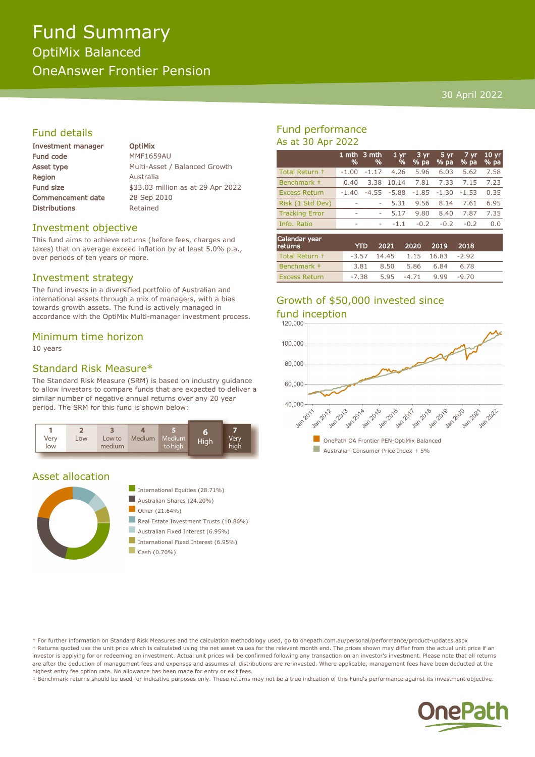# Fund Summary OptiMix Balanced OneAnswer Frontier Pension

#### 30 April 2022

## Fund details

| Investment manager       | <b>OptiMix</b>                    |
|--------------------------|-----------------------------------|
| <b>Fund code</b>         | <b>MMF1659AU</b>                  |
| Asset type               | Multi-Asset / Balanced Growth     |
| <b>Region</b>            | Australia                         |
| Fund size                | \$33.03 million as at 29 Apr 2022 |
| <b>Commencement date</b> | 28 Sep 2010                       |
| <b>Distributions</b>     | Retained                          |
|                          |                                   |

#### Investment objective

This fund aims to achieve returns (before fees, charges and taxes) that on average exceed inflation by at least 5.0% p.a., over periods of ten years or more.

#### Investment strategy

The fund invests in a diversified portfolio of Australian and international assets through a mix of managers, with a bias towards growth assets. The fund is actively managed in accordance with the OptiMix Multi-manager investment process.

#### Minimum time horizon

10 years

### Standard Risk Measure\*

The Standard Risk Measure (SRM) is based on industry guidance to allow investors to compare funds that are expected to deliver a similar number of negative annual returns over any 20 year period. The SRM for this fund is shown below:



#### Asset allocation





- Australian Fixed Interest (6.95%) International Fixed Interest (6.95%)
- $\Box$  Cash (0.70%)

## Fund performance As at 30 Apr 2022

|                       | %       | 1 mth $3$ mth<br>% | 1 <sub>yr</sub><br>% | 3 yr<br>% pa | 5 yr<br>% pa | 7 yr<br>% pa | 10 <sub>yr</sub><br>% pa |
|-----------------------|---------|--------------------|----------------------|--------------|--------------|--------------|--------------------------|
| Total Return +        | $-1.00$ | $-1.17$            | 4.26                 | 5.96         | 6.03         | 5.62         | 7.58                     |
| Benchmark ‡           | 0.40    | 3.38               | 10.14                | 7.81         | 7.33         | 7.15         | 7.23                     |
| <b>Excess Return</b>  | $-1.40$ | $-4.55$            | $-5.88$              | $-1.85$      | $-1.30$      | $-1.53$      | 0.35                     |
| Risk (1 Std Dev)      | ۰       | ۰                  | 5.31                 | 9.56         | 8.14         | 7.61         | 6.95                     |
| <b>Tracking Error</b> | ۰       | ۰                  | 5.17                 | 9.80         | 8.40         | 7.87         | 7.35                     |
| Info. Ratio           | ۰       | ۰                  | $-1.1$               | $-0.2$       | $-0.2$       | $-0.2$       | 0.0                      |
| Calendar year         |         |                    |                      |              |              |              |                          |

| Carchigan year<br><b>returns</b> |      | YTD 2021 2020 2019 2018          |               |      |  |
|----------------------------------|------|----------------------------------|---------------|------|--|
| Total Return +                   |      | $-3.57$ 14.45 1.15 16.83 $-2.92$ |               |      |  |
| Benchmark #                      | 3.81 | 8.50                             | 5.86 6.84     | 6.78 |  |
| <b>Excess Return</b>             |      | $-7.38$ 5.95 $-4.71$             | $9.99 - 9.70$ |      |  |

# Growth of \$50,000 invested since



\* For further information on Standard Risk Measures and the calculation methodology used, go to onepath.com.au/personal/performance/product-updates.aspx † Returns quoted use the unit price which is calculated using the net asset values for the relevant month end. The prices shown may differ from the actual unit price if an investor is applying for or redeeming an investment. Actual unit prices will be confirmed following any transaction on an investor's investment. Please note that all returns are after the deduction of management fees and expenses and assumes all distributions are re-invested. Where applicable, management fees have been deducted at the highest entry fee option rate. No allowance has been made for entry or exit fees.

‡ Benchmark returns should be used for indicative purposes only. These returns may not be a true indication of this Fund's performance against its investment objective.